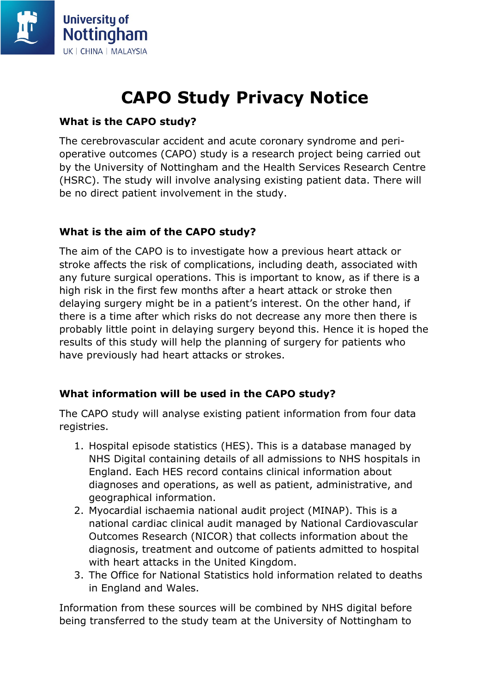

# **CAPO Study Privacy Notice**

## **What is the CAPO study?**

The cerebrovascular accident and acute coronary syndrome and perioperative outcomes (CAPO) study is a research project being carried out by the University of Nottingham and the Health Services Research Centre (HSRC). The study will involve analysing existing patient data. There will be no direct patient involvement in the study.

### **What is the aim of the CAPO study?**

The aim of the CAPO is to investigate how a previous heart attack or stroke affects the risk of complications, including death, associated with any future surgical operations. This is important to know, as if there is a high risk in the first few months after a heart attack or stroke then delaying surgery might be in a patient's interest. On the other hand, if there is a time after which risks do not decrease any more then there is probably little point in delaying surgery beyond this. Hence it is hoped the results of this study will help the planning of surgery for patients who have previously had heart attacks or strokes.

#### **What information will be used in the CAPO study?**

The CAPO study will analyse existing patient information from four data registries.

- 1. Hospital episode statistics (HES). This is a database managed by NHS Digital containing details of all admissions to NHS hospitals in England. Each HES record contains clinical information about diagnoses and operations, as well as patient, administrative, and geographical information.
- 2. Myocardial ischaemia national audit project (MINAP). This is a national cardiac clinical audit managed by National Cardiovascular Outcomes Research (NICOR) that collects information about the diagnosis, treatment and outcome of patients admitted to hospital with heart attacks in the United Kingdom.
- 3. The Office for National Statistics hold information related to deaths in England and Wales.

Information from these sources will be combined by NHS digital before being transferred to the study team at the University of Nottingham to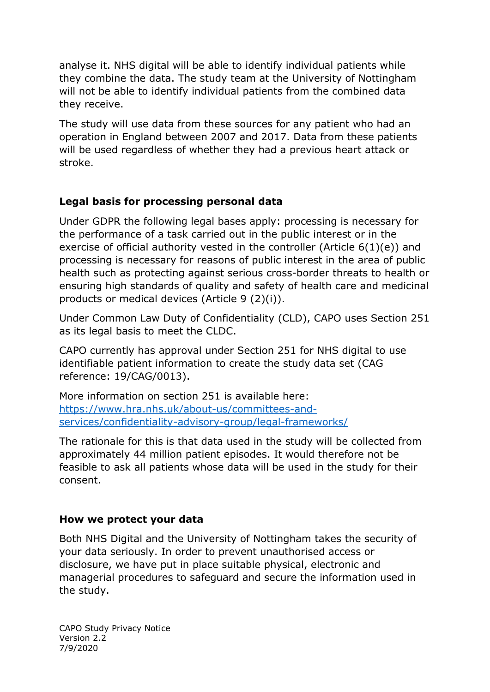analyse it. NHS digital will be able to identify individual patients while they combine the data. The study team at the University of Nottingham will not be able to identify individual patients from the combined data they receive.

The study will use data from these sources for any patient who had an operation in England between 2007 and 2017. Data from these patients will be used regardless of whether they had a previous heart attack or stroke.

## **Legal basis for processing personal data**

Under GDPR the following legal bases apply: processing is necessary for the performance of a task carried out in the public interest or in the exercise of official authority vested in the controller (Article 6(1)(e)) and processing is necessary for reasons of public interest in the area of public health such as protecting against serious cross-border threats to health or ensuring high standards of quality and safety of health care and medicinal products or medical devices (Article 9 (2)(i)).

Under Common Law Duty of Confidentiality (CLD), CAPO uses Section 251 as its legal basis to meet the CLDC.

CAPO currently has approval under Section 251 for NHS digital to use identifiable patient information to create the study data set (CAG reference: 19/CAG/0013).

More information on section 251 is available here: [https://www.hra.nhs.uk/about-us/committees-and](https://www.hra.nhs.uk/about-us/committees-and-services/confidentiality-advisory-group/legal-frameworks/)[services/confidentiality-advisory-group/legal-frameworks/](https://www.hra.nhs.uk/about-us/committees-and-services/confidentiality-advisory-group/legal-frameworks/)

The rationale for this is that data used in the study will be collected from approximately 44 million patient episodes. It would therefore not be feasible to ask all patients whose data will be used in the study for their consent.

#### **How we protect your data**

Both NHS Digital and the University of Nottingham takes the security of your data seriously. In order to prevent unauthorised access or disclosure, we have put in place suitable physical, electronic and managerial procedures to safeguard and secure the information used in the study.

CAPO Study Privacy Notice Version 2.2 7/9/2020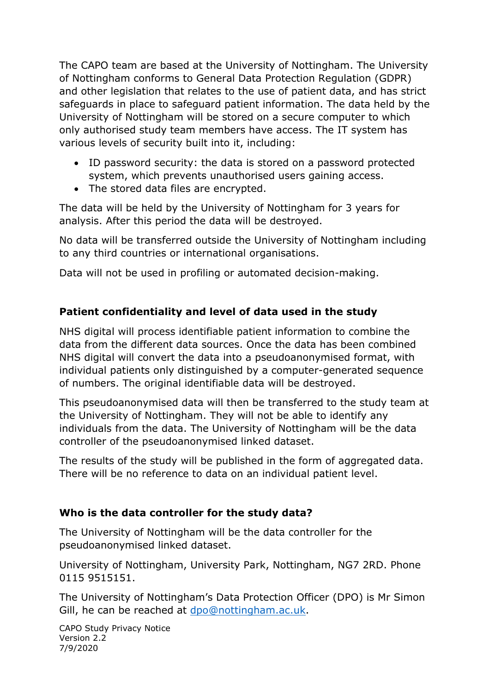The CAPO team are based at the University of Nottingham. The University of Nottingham conforms to General Data Protection Regulation (GDPR) and other legislation that relates to the use of patient data, and has strict safeguards in place to safeguard patient information. The data held by the University of Nottingham will be stored on a secure computer to which only authorised study team members have access. The IT system has various levels of security built into it, including:

- ID password security: the data is stored on a password protected system, which prevents unauthorised users gaining access.
- The stored data files are encrypted.

The data will be held by the University of Nottingham for 3 years for analysis. After this period the data will be destroyed.

No data will be transferred outside the University of Nottingham including to any third countries or international organisations.

Data will not be used in profiling or automated decision-making.

# **Patient confidentiality and level of data used in the study**

NHS digital will process identifiable patient information to combine the data from the different data sources. Once the data has been combined NHS digital will convert the data into a pseudoanonymised format, with individual patients only distinguished by a computer-generated sequence of numbers. The original identifiable data will be destroyed.

This pseudoanonymised data will then be transferred to the study team at the University of Nottingham. They will not be able to identify any individuals from the data. The University of Nottingham will be the data controller of the pseudoanonymised linked dataset.

The results of the study will be published in the form of aggregated data. There will be no reference to data on an individual patient level.

## **Who is the data controller for the study data?**

The University of Nottingham will be the data controller for the pseudoanonymised linked dataset.

University of Nottingham, University Park, Nottingham, NG7 2RD. Phone 0115 9515151.

The University of Nottingham's Data Protection Officer (DPO) is Mr Simon Gill, he can be reached at [dpo@nottingham.ac.uk.](mailto:dpo@nottingham.ac.uk)

CAPO Study Privacy Notice Version 2.2 7/9/2020